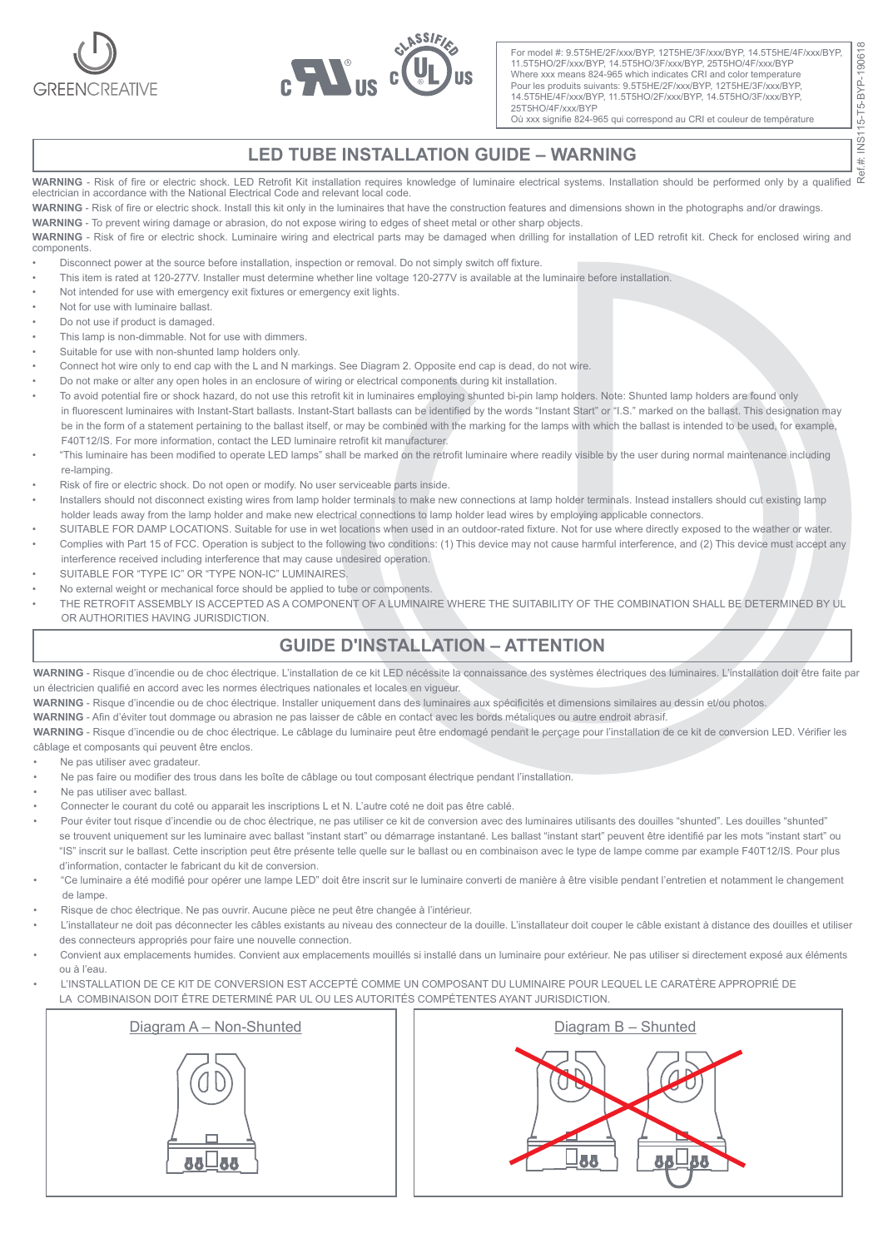



For model #: 9.5T5HE/2F/xxx/BYP, 12T5HE/3F/xxx/BYP, 14.5T5HE/4F/xxx/BYP, 11.5T5HO/2F/xxx/BYP, 14.5T5HO/3F/xxx/BYP, 25T5HO/4F/xxx/BYP Where xxx means 824-965 which indicates CRI and color temperature Pour les produits suivants: 9.5T5HE/2F/xxx/BYP, 12T5HE/3F/xxx/BYP, 14.5T5HE/4F/xxx/BYP, 11.5T5HO/2F/xxx/BYP, 14.5T5HO/3F/xxx/BYP, 25T5HO/4F/xxx/BYP

Où xxx signifie 824-965 qui correspond au CRI et couleur de température

## **LED TUBE INSTALLATION GUIDE – WARNING**

**WARNING** - Risk of fire or electric shock. LED Retrofit Kit installation requires knowledge of luminaire electrical systems. Installation should be performed only by a qualified<br>electrician in accordance with the National

**WARNING** - Risk of fire or electric shock. Install this kit only in the luminaires that have the construction features and dimensions shown in the photographs and/or drawings.

**WARNING** - To prevent wiring damage or abrasion, do not expose wiring to edges of sheet metal or other sharp objects.

**WARNING** - Risk of fire or electric shock. Luminaire wiring and electrical parts may be damaged when drilling for installation of LED retrofit kit. Check for enclosed wiring and components.

- Disconnect power at the source before installation, inspection or removal. Do not simply switch off fixture.
- This item is rated at 120-277V. Installer must determine whether line voltage 120-277V is available at the luminaire before installation.
- Not intended for use with emergency exit fixtures or emergency exit lights.
- Not for use with luminaire ballast.
- Do not use if product is damaged.
- This lamp is non-dimmable. Not for use with dimmers.
- Suitable for use with non-shunted lamp holders only.
- Connect hot wire only to end cap with the L and N markings. See Diagram 2. Opposite end cap is dead, do not wire.
- Do not make or alter any open holes in an enclosure of wiring or electrical components during kit installation.
- To avoid potential fire or shock hazard, do not use this retrofit kit in luminaires employing shunted bi-pin lamp holders. Note: Shunted lamp holders are found only in fluorescent luminaires with Instant-Start ballasts. Instant-Start ballasts can be identified by the words "Instant Start" or "I.S." marked on the ballast. This designation may be in the form of a statement pertaining to the ballast itself, or may be combined with the marking for the lamps with which the ballast is intended to be used, for example, F40T12/IS. For more information, contact the LED luminaire retrofit kit manufacturer.
- "This luminaire has been modified to operate LED lamps" shall be marked on the retrofit luminaire where readily visible by the user during normal maintenance including re-lamping.
- Risk of fire or electric shock. Do not open or modify. No user serviceable parts inside.
- Installers should not disconnect existing wires from lamp holder terminals to make new connections at lamp holder terminals. Instead installers should cut existing lamp holder leads away from the lamp holder and make new electrical connections to lamp holder lead wires by employing applicable connectors.
- SUITABLE FOR DAMP LOCATIONS. Suitable for use in wet locations when used in an outdoor-rated fixture. Not for use where directly exposed to the weather or water. • Complies with Part 15 of FCC. Operation is subject to the following two conditions: (1) This device may not cause harmful interference, and (2) This device must accept any
- interference received including interference that may cause undesired operation.
- SUITABLE FOR "TYPE IC" OR "TYPE NON-IC" LUMINAIRES
- No external weight or mechanical force should be applied to tube or components.
- THE RETROFIT ASSEMBLY IS ACCEPTED AS A COMPONENT OF A LUMINAIRE WHERE THE SUITABILITY OF THE COMBINATION SHALL BE DETERMINED BY UL OR AUTHORITIES HAVING JURISDICTION.

## **GUIDE D'INSTALLATION – ATTENTION**

**WARNING** - Risque d'incendie ou de choc électrique. L'installation de ce kit LED nécéssite la connaissance des systèmes électriques des luminaires. L'installation doit être faite par un électricien qualifié en accord avec les normes électriques nationales et locales en vigueur.

**WARNING** - Risque d'incendie ou de choc électrique. Installer uniquement dans des luminaires aux spécificités et dimensions similaires au dessin et/ou photos.

**WARNING** - Afin d'éviter tout dommage ou abrasion ne pas laisser de câble en contact avec les bords métaliques ou autre endroit abrasif.

**WARNING** - Risque d'incendie ou de choc électrique. Le câblage du luminaire peut être endomagé pendant le perçage pour l'installation de ce kit de conversion LED. Vérifier les câblage et composants qui peuvent être enclos.

- Ne pas utiliser avec gradateur.
- Ne pas faire ou modifier des trous dans les boîte de câblage ou tout composant électrique pendant l'installation.
- Ne pas utiliser avec ballast.
- Connecter le courant du coté ou apparait les inscriptions L et N. L'autre coté ne doit pas être cablé.
- Pour éviter tout risque d'incendie ou de choc électrique, ne pas utiliser ce kit de conversion avec des luminaires utilisants des douilles "shunted". Les douilles "shunted" se trouvent uniquement sur les luminaire avec ballast "instant start" ou démarrage instantané. Les ballast "instant start" peuvent être identifié par les mots "instant start" ou "IS" inscrit sur le ballast. Cette inscription peut être présente telle quelle sur le ballast ou en combinaison avec le type de lampe comme par example F40T12/IS. Pour plus d'information, contacter le fabricant du kit de conversion.
- "Ce luminaire a été modifié pour opérer une lampe LED" doit être inscrit sur le luminaire converti de manière à être visible pendant l'entretien et notamment le changement de lampe.
- Risque de choc électrique. Ne pas ouvrir. Aucune pièce ne peut être changée à l'intérieur.
- L'installateur ne doit pas déconnecter les câbles existants au niveau des connecteur de la douille. L'installateur doit couper le câble existant à distance des douilles et utiliser des connecteurs appropriés pour faire une nouvelle connection.
- Convient aux emplacements humides. Convient aux emplacements mouillés si installé dans un luminaire pour extérieur. Ne pas utiliser si directement exposé aux éléments ou à l'eau.
- L'INSTALLATION DE CE KIT DE CONVERSION EST ACCEPTÉ COMME UN COMPOSANT DU LUMINAIRE POUR LEQUEL LE CARATÈRE APPROPRIÉ DE LA COMBINAISON DOIT ÊTRE DETERMINÉ PAR UL OU LES AUTORITÉS COMPÉTENTES AYANT JURISDICTION.